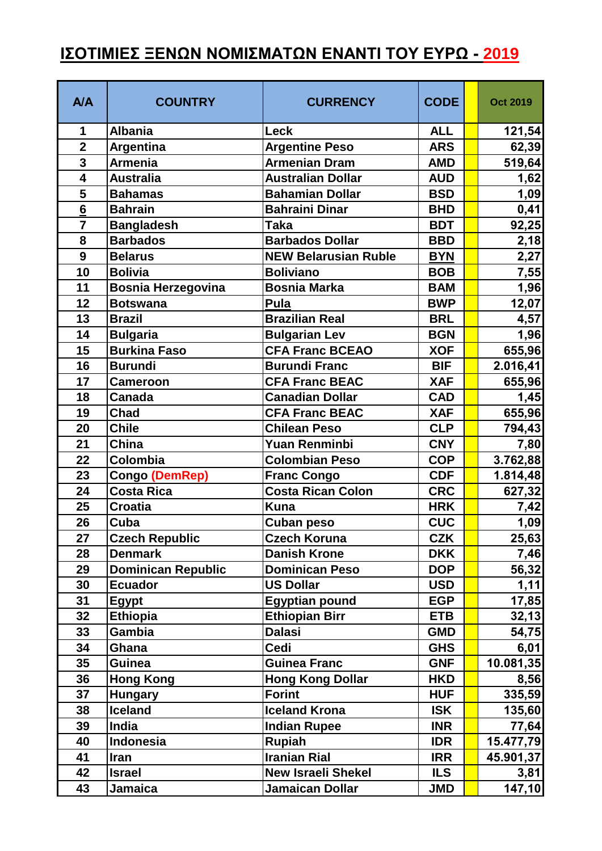## **ΙΣΟΤΙΜΙΕΣ ΞΕΝΩΝ ΝΟΜΙΣΜΑΤΩΝ ΕΝΑΝΤΙ ΤΟΥ ΕΥΡΩ - 2019**

| <b>A/A</b>      | <b>COUNTRY</b>            | <b>CURRENCY</b>             | <b>CODE</b> | <b>Oct 2019</b> |
|-----------------|---------------------------|-----------------------------|-------------|-----------------|
| 1               | <b>Albania</b>            | Leck                        | <b>ALL</b>  | 121,54          |
| $\overline{2}$  | Argentina                 | <b>Argentine Peso</b>       | <b>ARS</b>  | 62,39           |
| $\overline{3}$  | <b>Armenia</b>            | <b>Armenian Dram</b>        | <b>AMD</b>  | 519,64          |
| 4               | <b>Australia</b>          | <b>Australian Dollar</b>    | <b>AUD</b>  | 1,62            |
| 5               | <b>Bahamas</b>            | <b>Bahamian Dollar</b>      | <b>BSD</b>  | 1,09            |
| $6\overline{6}$ | <b>Bahrain</b>            | <b>Bahraini Dinar</b>       | <b>BHD</b>  | 0,41            |
| $\overline{7}$  | <b>Bangladesh</b>         | <b>Taka</b>                 | <b>BDT</b>  | 92,25           |
| 8               | <b>Barbados</b>           | <b>Barbados Dollar</b>      | <b>BBD</b>  | 2,18            |
| 9               | <b>Belarus</b>            | <b>NEW Belarusian Ruble</b> | <b>BYN</b>  | 2,27            |
| 10              | <b>Bolivia</b>            | <b>Boliviano</b>            | <b>BOB</b>  | 7,55            |
| 11              | <b>Bosnia Herzegovina</b> | <b>Bosnia Marka</b>         | <b>BAM</b>  | 1,96            |
| 12              | <b>Botswana</b>           | Pula                        | <b>BWP</b>  | 12,07           |
| 13              | <b>Brazil</b>             | <b>Brazilian Real</b>       | <b>BRL</b>  | 4,57            |
| 14              | <b>Bulgaria</b>           | <b>Bulgarian Lev</b>        | <b>BGN</b>  | 1,96            |
| 15              | <b>Burkina Faso</b>       | <b>CFA Franc BCEAO</b>      | <b>XOF</b>  | 655,96          |
| 16              | <b>Burundi</b>            | <b>Burundi Franc</b>        | <b>BIF</b>  | 2.016,41        |
| 17              | <b>Cameroon</b>           | <b>CFA Franc BEAC</b>       | <b>XAF</b>  | 655,96          |
| 18              | <b>Canada</b>             | <b>Canadian Dollar</b>      | <b>CAD</b>  | 1,45            |
| 19              | <b>Chad</b>               | <b>CFA Franc BEAC</b>       | <b>XAF</b>  | 655,96          |
| 20              | <b>Chile</b>              | <b>Chilean Peso</b>         | <b>CLP</b>  | 794,43          |
| 21              | <b>China</b>              | <b>Yuan Renminbi</b>        | <b>CNY</b>  | 7,80            |
| 22              | Colombia                  | <b>Colombian Peso</b>       | <b>COP</b>  | 3.762,88        |
| 23              | <b>Congo (DemRep)</b>     | <b>Franc Congo</b>          | <b>CDF</b>  | 1.814,48        |
| 24              | <b>Costa Rica</b>         | <b>Costa Rican Colon</b>    | <b>CRC</b>  | 627,32          |
| 25              | <b>Croatia</b>            | <b>Kuna</b>                 | <b>HRK</b>  | 7,42            |
| 26              | Cuba                      | <b>Cuban peso</b>           | <b>CUC</b>  | <u>1,09</u>     |
| 27              | <b>Czech Republic</b>     | <b>Czech Koruna</b>         | <b>CZK</b>  | 25,63           |
| 28              | <b>Denmark</b>            | <b>Danish Krone</b>         | <b>DKK</b>  | 7,46            |
| 29              | <b>Dominican Republic</b> | <b>Dominican Peso</b>       | <b>DOP</b>  | 56,32           |
| 30              | <b>Ecuador</b>            | <b>US Dollar</b>            | <b>USD</b>  | 1,11            |
| 31              | Egypt                     | <b>Egyptian pound</b>       | <b>EGP</b>  | 17,85           |
| 32              | <b>Ethiopia</b>           | <b>Ethiopian Birr</b>       | <b>ETB</b>  | 32,13           |
| 33              | <b>Gambia</b>             | <b>Dalasi</b>               | <b>GMD</b>  | 54,75           |
| 34              | Ghana                     | Cedi                        | <b>GHS</b>  | 6,01            |
| 35              | <b>Guinea</b>             | <b>Guinea Franc</b>         | <b>GNF</b>  | 10.081,35       |
| 36              | <b>Hong Kong</b>          | <b>Hong Kong Dollar</b>     | <b>HKD</b>  | 8,56            |
| 37              | <b>Hungary</b>            | <b>Forint</b>               | <b>HUF</b>  | 335,59          |
| 38              | <b>Iceland</b>            | <b>Iceland Krona</b>        | <b>ISK</b>  | 135,60          |
| 39              | India                     | <b>Indian Rupee</b>         | <b>INR</b>  | 77,64           |
| 40              | <b>Indonesia</b>          | <b>Rupiah</b>               | <b>IDR</b>  | 15.477,79       |
| 41              | <b>Iran</b>               | <b>Iranian Rial</b>         | <b>IRR</b>  | 45.901,37       |
| 42              | <b>Israel</b>             | <b>New Israeli Shekel</b>   | <b>ILS</b>  | 3,81            |
| 43              | <b>Jamaica</b>            | Jamaican Dollar             | <b>JMD</b>  | 147, 10         |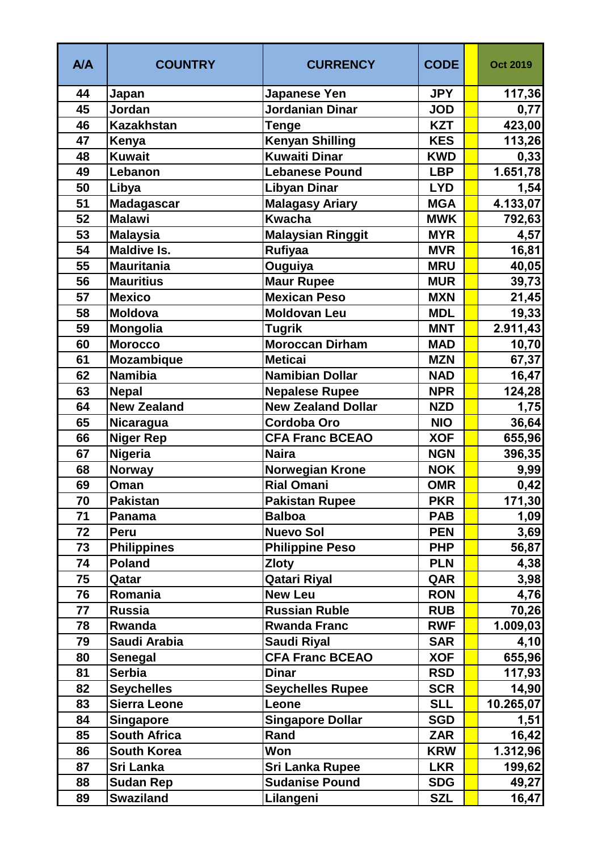| <b>A/A</b> | <b>COUNTRY</b>      | <b>CURRENCY</b>           | <b>CODE</b> | <b>Oct 2019</b> |
|------------|---------------------|---------------------------|-------------|-----------------|
| 44         | Japan               | <b>Japanese Yen</b>       | <b>JPY</b>  | 117,36          |
| 45         | Jordan              | Jordanian Dinar           | <b>JOD</b>  | 0,77            |
| 46         | <b>Kazakhstan</b>   | Tenge                     | <b>KZT</b>  | 423,00          |
| 47         | Kenya               | <b>Kenyan Shilling</b>    | <b>KES</b>  | 113,26          |
| 48         | <b>Kuwait</b>       | Kuwaiti Dinar             | <b>KWD</b>  | 0,33            |
| 49         | Lebanon             | <b>Lebanese Pound</b>     | <b>LBP</b>  | 1.651,78        |
| 50         | Libya               | <b>Libyan Dinar</b>       | <b>LYD</b>  | 1,54            |
| 51         | <b>Madagascar</b>   | <b>Malagasy Ariary</b>    | <b>MGA</b>  | 4.133,07        |
| 52         | <b>Malawi</b>       | <b>Kwacha</b>             | <b>MWK</b>  | 792,63          |
| 53         | <b>Malaysia</b>     | <b>Malaysian Ringgit</b>  | <b>MYR</b>  | 4,57            |
| 54         | <b>Maldive Is.</b>  | <b>Rufiyaa</b>            | <b>MVR</b>  | 16,81           |
| 55         | <b>Mauritania</b>   | <b>Ouguiya</b>            | <b>MRU</b>  | 40,05           |
| 56         | <b>Mauritius</b>    | <b>Maur Rupee</b>         | <b>MUR</b>  | 39,73           |
| 57         | <b>Mexico</b>       | <b>Mexican Peso</b>       | <b>MXN</b>  | 21,45           |
| 58         | <b>Moldova</b>      | <b>Moldovan Leu</b>       | <b>MDL</b>  | 19,33           |
| 59         | Mongolia            | <b>Tugrik</b>             | <b>MNT</b>  | 2.911,43        |
| 60         | <b>Morocco</b>      | <b>Moroccan Dirham</b>    | <b>MAD</b>  | 10,70           |
| 61         | Mozambique          | <b>Meticai</b>            | <b>MZN</b>  | 67,37           |
| 62         | <b>Namibia</b>      | <b>Namibian Dollar</b>    | <b>NAD</b>  | 16,47           |
| 63         | <b>Nepal</b>        | <b>Nepalese Rupee</b>     | <b>NPR</b>  | 124,28          |
| 64         | <b>New Zealand</b>  | <b>New Zealand Dollar</b> | <b>NZD</b>  | 1,75            |
| 65         | Nicaragua           | <b>Cordoba Oro</b>        | <b>NIO</b>  | 36,64           |
| 66         | <b>Niger Rep</b>    | <b>CFA Franc BCEAO</b>    | <b>XOF</b>  | 655,96          |
| 67         | <b>Nigeria</b>      | <b>Naira</b>              | <b>NGN</b>  | 396,35          |
| 68         | <b>Norway</b>       | Norwegian Krone           | <b>NOK</b>  | 9,99            |
| 69         | Oman                | <b>Rial Omani</b>         | <b>OMR</b>  | 0,42            |
| 70         | <b>Pakistan</b>     | <b>Pakistan Rupee</b>     | <b>PKR</b>  | 171,30          |
| 71         | Panama              | <b>Balboa</b>             | <b>PAB</b>  | 1,09            |
| 72         | Peru                | <b>Nuevo Sol</b>          | <b>PEN</b>  | 3,69            |
| 73         | <b>Philippines</b>  | <b>Philippine Peso</b>    | <b>PHP</b>  | 56,87           |
| 74         | <b>Poland</b>       | <b>Zloty</b>              | <b>PLN</b>  | 4,38            |
| 75         | Qatar               | <b>Qatari Riyal</b>       | QAR         | 3,98            |
| 76         | Romania             | <b>New Leu</b>            | <b>RON</b>  | 4,76            |
| 77         | <b>Russia</b>       | <b>Russian Ruble</b>      | <b>RUB</b>  | 70,26           |
| 78         | Rwanda              | <b>Rwanda Franc</b>       | <b>RWF</b>  | 1.009,03        |
| 79         | Saudi Arabia        | Saudi Riyal               | <b>SAR</b>  | 4,10            |
| 80         | <b>Senegal</b>      | <b>CFA Franc BCEAO</b>    | <b>XOF</b>  | 655,96          |
| 81         | <b>Serbia</b>       | <b>Dinar</b>              | <b>RSD</b>  | 117,93          |
| 82         | <b>Seychelles</b>   | <b>Seychelles Rupee</b>   | <b>SCR</b>  | 14,90           |
| 83         | <b>Sierra Leone</b> | Leone                     | <b>SLL</b>  | 10.265,07       |
| 84         | <b>Singapore</b>    | <b>Singapore Dollar</b>   | <b>SGD</b>  | 1,51            |
| 85         | <b>South Africa</b> | Rand                      | <b>ZAR</b>  | 16,42           |
| 86         | <b>South Korea</b>  | Won                       | <b>KRW</b>  | 1.312,96        |
| 87         | Sri Lanka           | <b>Sri Lanka Rupee</b>    | <b>LKR</b>  | 199,62          |
| 88         | <b>Sudan Rep</b>    | <b>Sudanise Pound</b>     | <b>SDG</b>  | 49,27           |
| 89         | <b>Swaziland</b>    | Lilangeni                 | <b>SZL</b>  | 16,47           |